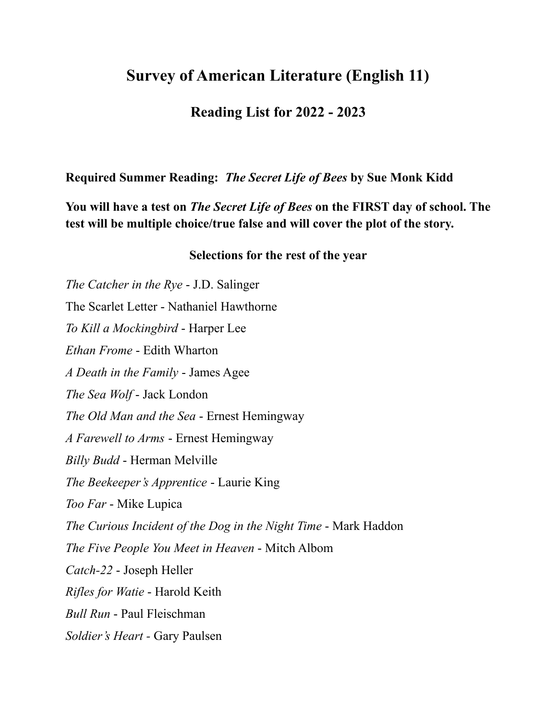## **Survey of American Literature (English 11)**

## **Reading List for 2022 - 2023**

**Required Summer Reading:** *The Secret Life of Bees* **by Sue Monk Kidd**

**You will have a test on** *The Secret Life of Bees* **on the FIRST day of school. The test will be multiple choice/true false and will cover the plot of the story.**

## **Selections for the rest of the year**

*The Catcher in the Rye* - J.D. Salinger The Scarlet Letter - Nathaniel Hawthorne *To Kill a Mockingbird* - Harper Lee *Ethan Frome* - Edith Wharton *A Death in the Family* - James Agee *The Sea Wolf* - Jack London *The Old Man and the Sea* - Ernest Hemingway *A Farewell to Arms* - Ernest Hemingway *Billy Budd* - Herman Melville *The Beekeeper's Apprentice* - Laurie King *Too Far* - Mike Lupica *The Curious Incident of the Dog in the Night Time* - Mark Haddon *The Five People You Meet in Heaven* - Mitch Albom *Catch-22* - Joseph Heller *Rifles for Watie* - Harold Keith *Bull Run* - Paul Fleischman *Soldier's Heart -* Gary Paulsen